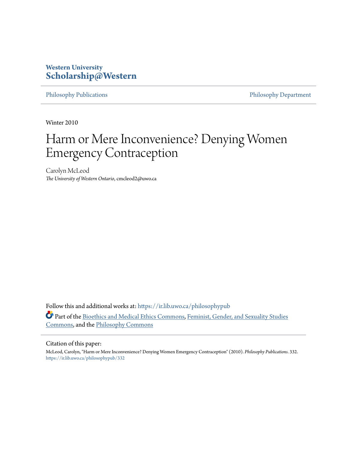### **Western University [Scholarship@Western](https://ir.lib.uwo.ca?utm_source=ir.lib.uwo.ca%2Fphilosophypub%2F332&utm_medium=PDF&utm_campaign=PDFCoverPages)**

[Philosophy Publications](https://ir.lib.uwo.ca/philosophypub?utm_source=ir.lib.uwo.ca%2Fphilosophypub%2F332&utm_medium=PDF&utm_campaign=PDFCoverPages) [Philosophy Department](https://ir.lib.uwo.ca/philosophy?utm_source=ir.lib.uwo.ca%2Fphilosophypub%2F332&utm_medium=PDF&utm_campaign=PDFCoverPages)

Winter 2010

# Harm or Mere Inconvenience? Denying Women Emergency Contraception

Carolyn McLeod *The University of Western Ontario*, cmcleod2@uwo.ca

Follow this and additional works at: [https://ir.lib.uwo.ca/philosophypub](https://ir.lib.uwo.ca/philosophypub?utm_source=ir.lib.uwo.ca%2Fphilosophypub%2F332&utm_medium=PDF&utm_campaign=PDFCoverPages) Part of the [Bioethics and Medical Ethics Commons,](http://network.bepress.com/hgg/discipline/650?utm_source=ir.lib.uwo.ca%2Fphilosophypub%2F332&utm_medium=PDF&utm_campaign=PDFCoverPages) [Feminist, Gender, and Sexuality Studies](http://network.bepress.com/hgg/discipline/559?utm_source=ir.lib.uwo.ca%2Fphilosophypub%2F332&utm_medium=PDF&utm_campaign=PDFCoverPages) [Commons,](http://network.bepress.com/hgg/discipline/559?utm_source=ir.lib.uwo.ca%2Fphilosophypub%2F332&utm_medium=PDF&utm_campaign=PDFCoverPages) and the [Philosophy Commons](http://network.bepress.com/hgg/discipline/525?utm_source=ir.lib.uwo.ca%2Fphilosophypub%2F332&utm_medium=PDF&utm_campaign=PDFCoverPages)

#### Citation of this paper:

McLeod, Carolyn, "Harm or Mere Inconvenience? Denying Women Emergency Contraception" (2010). *Philosophy Publications*. 332. [https://ir.lib.uwo.ca/philosophypub/332](https://ir.lib.uwo.ca/philosophypub/332?utm_source=ir.lib.uwo.ca%2Fphilosophypub%2F332&utm_medium=PDF&utm_campaign=PDFCoverPages)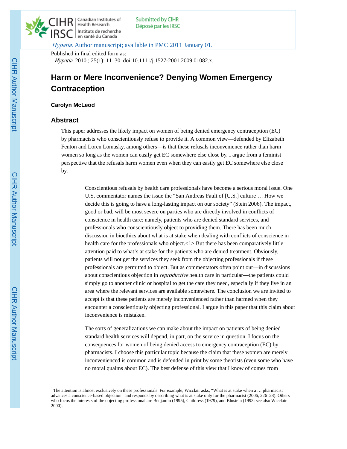

Canadian Institutes of **Health Research** Instituts de recherche en santé du Canada

**Submitted by CIHR** Déposé par les IRSC

Hypatia. Author manuscript; available in PMC 2011 January 01.

Published in final edited form as:

Hypatia. 2010 ; 25(1): 11–30. doi:10.1111/j.1527-2001.2009.01082.x.

## **Harm or Mere Inconvenience? Denying Women Emergency Contraception**

#### **Carolyn McLeod**

#### **Abstract**

This paper addresses the likely impact on women of being denied emergency contraception (EC) by pharmacists who conscientiously refuse to provide it. A common view—defended by Elizabeth Fenton and Loren Lomasky, among others—is that these refusals inconvenience rather than harm women so long as the women can easily get EC somewhere else close by. I argue from a feminist perspective that the refusals harm women even when they can easily get EC somewhere else close by.

> Conscientious refusals by health care professionals have become a serious moral issue. One U.S. commentator names the issue the "San Andreas Fault of [U.S.] culture … How we decide this is going to have a long-lasting impact on our society" (Stein 2006). The impact, good or bad, will be most severe on parties who are directly involved in conflicts of conscience in health care: namely, patients who are denied standard services, and professionals who conscientiously object to providing them. There has been much discussion in bioethics about what is at stake when dealing with conflicts of conscience in health care for the professionals who object.<1> But there has been comparatively little attention paid to what's at stake for the patients who are denied treatment. Obviously, patients will not get the services they seek from the objecting professionals if these professionals are permitted to object. But as commentators often point out—in discussions about conscientious objection in *reproductive* health care in particular—the patients could simply go to another clinic or hospital to get the care they need, especially if they live in an area where the relevant services are available somewhere. The conclusion we are invited to accept is that these patients are merely inconvenienced rather than harmed when they encounter a conscientiously objecting professional. I argue in this paper that this claim about inconvenience is mistaken.

The sorts of generalizations we can make about the impact on patients of being denied standard health services will depend, in part, on the service in question. I focus on the consequences for women of being denied access to emergency contraception (EC) by pharmacists. I choose this particular topic because the claim that these women are merely inconvenienced is common and is defended in print by some theorists (even some who have no moral qualms about EC). The best defense of this view that I know of comes from

<sup>&</sup>lt;sup>1</sup>The attention is almost exclusively on these professionals. For example, Wicclair asks, "What is at stake when a ... pharmacist advances a conscience-based objection" and responds by describing what is at stake only for the pharmacist (2006, 226–28). Others who focus the interests of the objecting professional are Benjamin (1995), Childress (1979), and Blustein (1993; see also Wicclair 2000).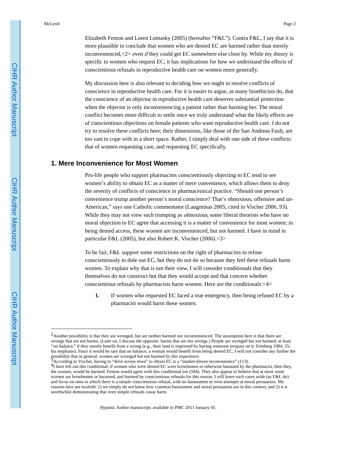Elizabeth Fenton and Loren Lomasky (2005) (hereafter "F&L"). Contra F&L, I say that it is more plausible to conclude that women who are denied EC are harmed rather than merely inconvenienced,<2> even if they could get EC somewhere else close by. While my theory is specific to women who request EC, it has implications for how we understand the effects of conscientious refusals in reproductive health care on women more generally.

My discussion here is also relevant to deciding how we ought to resolve conflicts of conscience in reproductive health care. For it is easier to argue, as many bioethicists do, that the conscience of an objector in reproductive health care deserves substantial protection when the objector is only inconveniencing a patient rather than harming her. The moral conflict becomes more difficult to settle once we truly understand what the likely effects are of conscientious objections on female patients who want reproductive health care. I do not try to resolve these conflicts here; their dimensions, like those of the San Andreas Fault, are too vast to cope with in a short space. Rather, I simply deal with one side of these conflicts: that of women requesting care, and requesting EC specifically.

#### **1. Mere Inconvenience for Most Women**

Pro-life people who support pharmacists conscientiously objecting to EC tend to see women's ability to obtain EC as a matter of mere convenience, which allows them to deny the severity of conflicts of conscience in pharmaceutical practice. "Should one person's convenience trump another person's moral conscience? That's obnoxious, offensive and un-American," says one Catholic commentator (Laugminas 2005; cited in Vischer 2006, 93). While they may not view such trumping as *obnoxious*, some liberal theorists who have no moral objection to EC agree that accessing it is a matter of convenience for most women; in being denied access, these women are inconvenienced, but not harmed. I have in mind in particular F&L (2005), but also Robert K. Vischer (2006).<3>

To be fair, F&L support some restrictions on the right of pharmacists to refuse conscientiously to dole out EC, but they do not do so because they feel these refusals harm women. To explain why that is not their view, I will consider conditionals that they themselves do not construct but that they would accept and that concern whether conscientious refusals by pharmacists harm women. Here are the conditionals:<4>

**1.** If women who requested EC faced a true emergency, then being refused EC by a pharmacist would harm these women.

<sup>&</sup>lt;sup>2</sup>Another possibility is that they are wronged, but are neither harmed nor inconvenienced. The assumption here is that there are wrongs that are not harms. (Later on, I discuss the opposite: harms that are not wrongs.) People are wronged but not harmed, at least "on balance," if they mostly benefit from a wrong (e.g., their land is improved by having someone trespass on it; Feinberg 1984, 35; his emphasis). Since it would be rare that on balance, a woman would benefit from being denied EC, I will not consider any further the possibility that in general, women are wronged but not harmed by this experience.

According to Vischer, having to "drive across town" to obtain EC is a "market-driven inconvenience" (113). <sup>4</sup>I have left out this conditional: if women who were denied EC were browbeaten or otherwise harassed by the pharmacist, then they, the women, would be harmed. Fenton would agree with this conditional too (584). They also appear to believe that at most some women are browbeaten or harassed, and harmed by conscientious refusals for this reason. I will leave such cases aside (as F&L do) and focus on ones in which there is a simple conscientious refusal, with no harassment or even attempts at moral persuasion. My reasons here are twofold: 1) we simply do not know how common harassment and moral persuasion are in this context; and 2) it is worthwhile demonstrating that even simple refusals cause harm.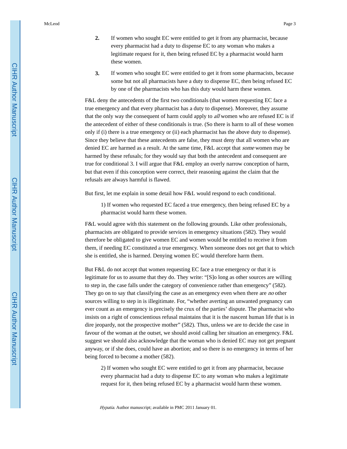- **2.** If women who sought EC were entitled to get it from any pharmacist, because every pharmacist had a duty to dispense EC to any woman who makes a legitimate request for it, then being refused EC by a pharmacist would harm these women.
- **3.** If women who sought EC were entitled to get it from some pharmacists, because some but not all pharmacists have a duty to dispense EC, then being refused EC by one of the pharmacists who has this duty would harm these women.

F&L deny the antecedents of the first two conditionals (that women requesting EC face a true emergency and that every pharmacist has a duty to dispense). Moreover, they assume that the only way the consequent of harm could apply to all women who are refused EC is if the antecedent of either of these conditionals is true. (So there is harm to all of these women only if (i) there is a true emergency or (ii) each pharmacist has the above duty to dispense). Since they believe that these antecedents are false, they must deny that all women who are denied EC are harmed as a result. At the same time, F&L accept that *some* women may be harmed by these refusals; for they would say that both the antecedent and consequent are true for conditional 3. I will argue that F&L employ an overly narrow conception of harm, but that even if this conception were correct, their reasoning against the claim that the refusals are always harmful is flawed.

But first, let me explain in some detail how F&L would respond to each conditional.

1) If women who requested EC faced a true emergency, then being refused EC by a pharmacist would harm these women.

F&L would agree with this statement on the following grounds. Like other professionals, pharmacists are obligated to provide services in emergency situations (582). They would therefore be obligated to give women EC and women would be entitled to receive it from them, if needing EC constituted a true emergency. When someone does not get that to which she is entitled, she is harmed. Denying women EC would therefore harm them.

But F&L do not accept that women requesting EC face a true emergency or that it is legitimate for us to assume that they do. They write: "[S]o long as other sources are willing to step in, the case falls under the category of convenience rather than emergency" (582). They go on to say that classifying the case as an emergency even when there are *no* other sources willing to step in is illegitimate. For, "whether averting an unwanted pregnancy can ever count as an emergency is precisely the crux of the parties' dispute. The pharmacist who insists on a right of conscientious refusal maintains that it is the nascent human life that is in dire jeopardy, not the prospective mother" (582). Thus, unless we are to decide the case in favour of the woman at the outset, we should avoid calling her situation an emergency. F&L suggest we should also acknowledge that the woman who is denied EC may not get pregnant anyway, or if she does, could have an abortion; and so there is no emergency in terms of her being forced to become a mother (582).

2) If women who sought EC were entitled to get it from any pharmacist, because every pharmacist had a duty to dispense EC to any woman who makes a legitimate request for it, then being refused EC by a pharmacist would harm these women.

Hypatia. Author manuscript; available in PMC 2011 January 01.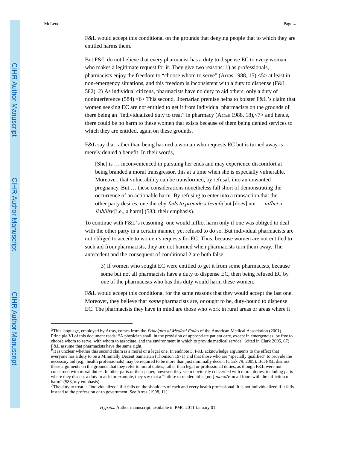F&L would accept this conditional on the grounds that denying people that to which they are entitled harms them.

But F&L do not believe that every pharmacist has a duty to dispense EC to every woman who makes a legitimate request for it. They give two reasons: 1) as professionals, pharmacists enjoy the freedom to "choose whom to serve" (Arras 1988, 15),<5> at least in non-emergency situations, and this freedom is inconsistent with a duty to dispense (F&L 582). 2) As individual citizens, pharmacists have no duty to aid others, only a duty of noninterference (584).<6> This second, libertarian premise helps to bolster F&L's claim that women seeking EC are not entitled to get it from individual pharmacists on the grounds of there being an "individualized duty to treat" in pharmacy (Arras 1988, 18),<7> and hence, there could be no harm to these women that exists because of them being denied services to which they are entitled, again on these grounds.

F&L say that rather than being harmed a woman who requests EC but is turned away is merely denied a benefit. In their words,

[She] is … inconvenienced in pursuing her ends and may experience discomfort at being branded a moral transgressor, this at a time when she is especially vulnerable. Moreover, that vulnerability can be transformed, by refusal, into an unwanted pregnancy. But … these considerations nonetheless fall short of demonstrating the occurrence of an actionable harm. By refusing to enter into a transaction that the other party desires, one thereby fails to provide a benefit but [does] not … inflict a liability [i.e., a harm] (583; their emphasis).

To continue with F&L's reasoning: one would inflict harm only if one was obliged to deal with the other party in a certain manner, yet refused to do so. But individual pharmacists are not obliged to accede to women's requests for EC. Thus, because women are not entitled to such aid from pharmacists, they are not harmed when pharmacists turn them away. The antecedent and the consequent of conditional 2 are both false.

3) If women who sought EC were entitled to get it from some pharmacists, because some but not all pharmacists have a duty to dispense EC, then being refused EC by one of the pharmacists who has this duty would harm these women.

F&L would accept this conditional for the same reasons that they would accept the last one. Moreover, they believe that *some* pharmacists are, or ought to be, duty-bound to dispense EC. The pharmacists they have in mind are those who work in rural areas or areas where it

<sup>5</sup>This language, employed by Arras, comes from the *Principles of Medical Ethics* of the American Medical Association (2001). Principle VI of this document reads: "A physician shall, in the provision of appropriate patient care, except in emergencies, be free to choose whom to serve, with whom to associate, and the environment in which to provide medical service" (cited in Clark 2005, 67). F&L assume that pharmacists have the same right.

<sup>6</sup>It is unclear whether this second claim is a moral or a legal one. In endnote 5, F&L acknowledge arguments to the effect that everyone has a duty to be a Minimally Decent Samaritan (Thomson 1971) and that those who are "specially qualified" to provide the necessary aid (e.g., health professionals) may be required to be more than just minimally decent (Clark 79, 2005). But F&L dismiss these arguments on the grounds that they refer to moral duties, rather than legal or professional duties, as though F&L were not concerned with moral duties. In other parts of their paper, however, they seem obviously concerned with moral duties, including parts where they discuss a duty to aid: for example, they say that a "failure to render aid is [not] morally on all fours with the infliction of harm" (583, my emphasis).

<sup>7</sup>The duty to treat is "individualized" if it falls on the shoulders of each and every health professional. It is not individualized if it falls instead to the profession or to government. See Arras (1998, 11).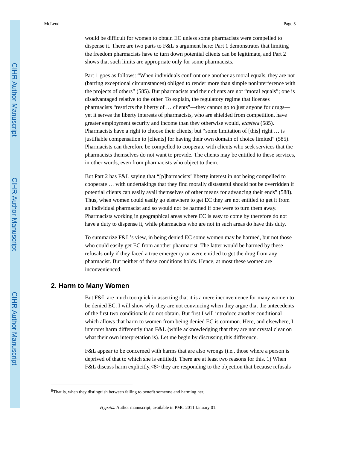would be difficult for women to obtain EC unless some pharmacists were compelled to dispense it. There are two parts to F&L's argument here: Part 1 demonstrates that limiting the freedom pharmacists have to turn down potential clients can be legitimate, and Part 2 shows that such limits are appropriate only for some pharmacists.

Part 1 goes as follows: "When individuals confront one another as moral equals, they are not (barring exceptional circumstances) obliged to render more than simple noninterference with the projects of others" (585). But pharmacists and their clients are not "moral equals"; one is disadvantaged relative to the other. To explain, the regulatory regime that licenses pharmacists "restricts the liberty of … clients"—they cannot go to just anyone for drugs yet it serves the liberty interests of pharmacists, who are shielded from competition, have greater employment security and income than they otherwise would, *etcetera* (585). Pharmacists have a right to choose their clients; but "some limitation of [this] right ... is justifiable compensation to [clients] for having their own domain of choice limited" (585). Pharmacists can therefore be compelled to cooperate with clients who seek services that the pharmacists themselves do not want to provide. The clients may be entitled to these services, in other words, even from pharmacists who object to them.

But Part 2 has F&L saying that "[p]harmacists' liberty interest in not being compelled to cooperate … with undertakings that they find morally distasteful should not be overridden if potential clients can easily avail themselves of other means for advancing their ends" (588). Thus, when women could easily go elsewhere to get EC they are not entitled to get it from an individual pharmacist and so would not be harmed if one were to turn them away. Pharmacists working in geographical areas where EC is easy to come by therefore do not have a duty to dispense it, while pharmacists who are not in such areas do have this duty.

To summarize F&L's view, in being denied EC some women may be harmed, but not those who could easily get EC from another pharmacist. The latter would be harmed by these refusals only if they faced a true emergency or were entitled to get the drug from any pharmacist. But neither of these conditions holds. Hence, at most these women are inconvenienced.

#### **2. Harm to Many Women**

But F&L are much too quick in asserting that it is a mere inconvenience for many women to be denied EC. I will show why they are not convincing when they argue that the antecedents of the first two conditionals do not obtain. But first I will introduce another conditional which allows that harm to women from being denied EC is common. Here, and elsewhere, I interpret harm differently than F&L (while acknowledging that they are not crystal clear on what their own interpretation is). Let me begin by discussing this difference.

F&L appear to be concerned with harms that are also wrongs (i.e., those where a person is deprived of that to which she is entitled). There are at least two reasons for this. 1) When F&L discuss harm explicitly,  $8$  they are responding to the objection that because refusals

<sup>8</sup>That is, when they distinguish between failing to benefit someone and harming her.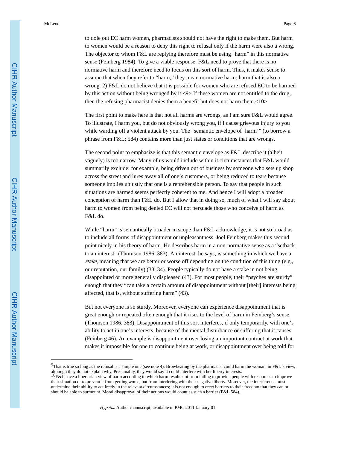to dole out EC harm women, pharmacists should not have the right to make them. But harm to women would be a reason to deny this right to refusal only if the harm were also a wrong. The objector to whom F&L are replying therefore must be using "harm" in this normative sense (Feinberg 1984). To give a viable response, F&L need to prove that there is no normative harm and therefore need to focus on this sort of harm. Thus, it makes sense to assume that when they refer to "harm," they mean normative harm: harm that is also a wrong. 2) F&L do not believe that it is possible for women who are refused EC to be harmed by this action without being wronged by it.<9> If these women are not entitled to the drug, then the refusing pharmacist denies them a benefit but does not harm them. $\langle 10 \rangle$ 

The first point to make here is that not all harms are wrongs, as I am sure F&L would agree. To illustrate, I harm you, but do not obviously wrong you, if I cause grievous injury to you while warding off a violent attack by you. The "semantic envelope of 'harm'" (to borrow a phrase from F&L; 584) contains more than just states or conditions that are wrongs.

The second point to emphasize is that this semantic envelope as F&L describe it (albeit vaguely) is too narrow. Many of us would include within it circumstances that F&L would summarily exclude: for example, being driven out of business by someone who sets up shop across the street and lures away all of one's customers, or being reduced to tears because someone implies unjustly that one is a reprehensible person. To say that people in such situations are harmed seems perfectly coherent to me. And hence I will adopt a broader conception of harm than F&L do. But I allow that in doing so, much of what I will say about harm to women from being denied EC will not persuade those who conceive of harm as F&L do.

While "harm" is semantically broader in scope than F&L acknowledge, it is not so broad as to include all forms of disappointment or unpleasantness. Joel Feinberg makes this second point nicely in his theory of harm. He describes harm in a non-normative sense as a "setback to an interest" (Thomson 1986, 383). An interest, he says, is something in which we have a stake, meaning that we are better or worse off depending on the condition of this thing (e.g., our reputation, our family) (33, 34). People typically do not have a stake in not being disappointed or more generally displeased (43). For most people, their "psyches are sturdy" enough that they "can take a certain amount of disappointment without [their] interests being affected, that is, without suffering harm" (43).

But not everyone is so sturdy. Moreover, everyone can experience disappointment that is great enough or repeated often enough that it rises to the level of harm in Feinberg's sense (Thomson 1986, 383). Disappointment of this sort interferes, if only temporarily, with one's ability to act in one's interests, because of the mental disturbance or suffering that it causes (Feinberg 46). An example is disappointment over losing an important contract at work that makes it impossible for one to continue being at work, or disappointment over being told for

<sup>9</sup>That is true so long as the refusal is a simple one (see note 4). Browbeating by the pharmacist could harm the woman, in F&L's view, although they do not explain why. Presumably, they would say it could interfere with her liberty interests.<br><sup>10</sup>F&L have a libertarian view of harm according to which harm results not from failing to provide people with re

their situation or to prevent it from getting worse, but from interfering with their negative liberty. Moreover, the interference must undermine their ability to act freely in the relevant circumstances; it is not enough to erect barriers to their freedom that they can or should be able to surmount. Moral disapproval of their actions would count as such a barrier (F&L 584).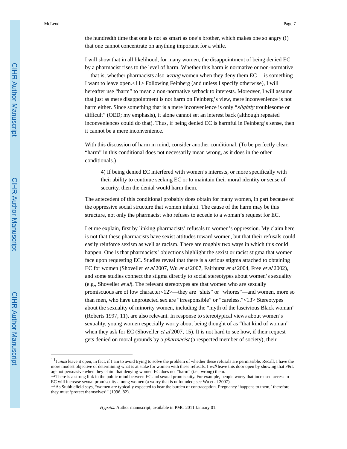the hundredth time that one is not as smart as one's brother, which makes one so angry (!) that one cannot concentrate on anything important for a while.

I will show that in all likelihood, for many women, the disappointment of being denied EC by a pharmacist rises to the level of harm. Whether this harm is normative or non-normative —that is, whether pharmacists also *wrong* women when they deny them  $EC$  —is something I want to leave open.<11> Following Feinberg (and unless I specify otherwise), I will hereafter use "harm" to mean a non-normative setback to interests. Moreover, I will assume that just as mere disappointment is not harm on Feinberg's view, mere inconvenience is not harm either. Since something that is a mere inconvenience is only "*slightly* troublesome or difficult" (OED; my emphasis), it alone cannot set an interest back (although repeated inconveniences could do that). Thus, if being denied EC is harmful in Feinberg's sense, then it cannot be a mere inconvenience.

With this discussion of harm in mind, consider another conditional. (To be perfectly clear, "harm" in this conditional does not necessarily mean wrong, as it does in the other conditionals.)

4) If being denied EC interfered with women's interests, or more specifically with their ability to continue seeking EC or to maintain their moral identity or sense of security, then the denial would harm them.

The antecedent of this conditional probably does obtain for many women, in part because of the oppressive social structure that women inhabit. The cause of the harm may be this structure, not only the pharmacist who refuses to accede to a woman's request for EC.

Let me explain, first by linking pharmacists' refusals to women's oppression. My claim here is not that these pharmacists have sexist attitudes toward women, but that their refusals could easily reinforce sexism as well as racism. There are roughly two ways in which this could happen. One is that pharmacists' objections highlight the sexist or racist stigma that women face upon requesting EC. Studies reveal that there is a serious stigma attached to obtaining EC for women (Shoveller et al 2007, Wu et al 2007, Fairhurst et al 2004, Free et al 2002), and some studies connect the stigma directly to social stereotypes about women's sexuality (e.g., Shoveller et al). The relevant stereotypes are that women who are sexually promiscuous are of low character<12>—they are "sluts" or "whores"—and women, more so than men, who have unprotected sex are "irresponsible" or "careless."<13> Stereotypes about the sexuality of minority women, including the "myth of the lascivious Black woman" (Roberts 1997, 11), are also relevant. In response to stereotypical views about women's sexuality, young women especially worry about being thought of as "that kind of woman" when they ask for EC (Shoveller *et al* 2007, 15). It is not hard to see how, if their request gets denied on moral grounds by a pharmacist (a respected member of society), their

 $11$ I must leave it open, in fact, if I am to avoid trying to solve the problem of whether these refusals are permissible. Recall, I have the more modest objective of determining what is at stake for women with these refusals. I will leave this door open by showing that F&L are not persuasive when they claim that denying women EC does not "harm" (i.e., wrong) them.<br><sup>12</sup>There is a strong link in the public mind between EC and sexual promiscuity. For example, people worry that increased access

EC will increase sexual promiscuity among women (a worry that is unfounded; see Wu et al 2007).<br><sup>13</sup>As Stubblefield says, "women are typically expected to bear the burden of contraception. Pregnancy 'happens to them,' ther

they must 'protect themselves'" (1996, 82).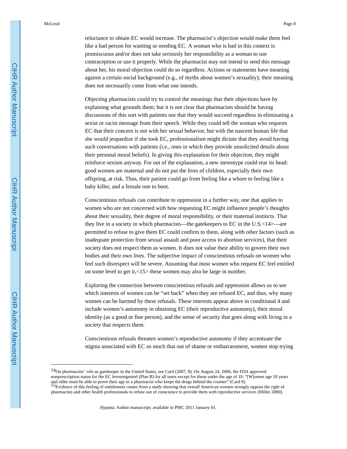reluctance to obtain EC would increase. The pharmacist's objection would make them feel like a bad person for wanting or needing EC. A woman who is bad in this context is promiscuous and/or does not take seriously her responsibility as a woman to use contraception or use it properly. While the pharmacist may not intend to send this message about her, his moral objection could do so regardless. Actions or statements have meaning against a certain social background (e.g., of myths about women's sexuality); their meaning does not necessarily come from what one intends.

Objecting pharmacists could try to control the meanings that their objections have by explaining what grounds them; but it is not clear that pharmacists should be having discussions of this sort with patients nor that they would succeed regardless in eliminating a sexist or racist message from their speech. While they could tell the woman who requests EC that their concern is not with her sexual behavior, but with the nascent human life that she would jeopardize if she took EC, professionalism might dictate that they avoid having such conversations with patients (i.e., ones in which they provide unsolicited details about their personal moral beliefs). In giving this explanation for their objection, they might reinforce sexism anyway. For out of the explanation, a new stereotype could rear its head: good women are maternal and do not put the lives of children, especially their own offspring, at risk. Thus, their patient could go from feeling like a whore to feeling like a baby killer, and a female one to boot.

Conscientious refusals can contribute to oppression in a further way, one that applies to women who are not concerned with how requesting EC might influence people's thoughts about their sexuality, their degree of moral responsibility, or their maternal instincts. That they live in a society in which pharmacists—the gatekeepers to EC in the U.S.<14>—are permitted to refuse to give them EC could confirm to them, along with other factors (such as inadequate protection from sexual assault and poor access to abortion services), that their society does not respect them as women. It does not value their ability to govern their own bodies and their own lives. The subjective impact of conscientious refusals on women who feel such disrespect will be severe. Assuming that most women who request EC feel entitled on some level to get it,<15> these women may also be large in number.

Exploring the connection between conscientious refusals and oppression allows us to see which interests of women can be "set back" when they are refused EC, and thus, why many women can be harmed by these refusals. These interests appear above in conditional 4 and include women's autonomy in obtaining EC (their reproductive autonomy), their moral identity (as a good or fine person), and the sense of security that goes along with living in a society that respects them.

Conscientious refusals threaten women's reproductive autonomy if they accentuate the stigma associated with EC so much that out of shame or embarrassment, women stop trying

<sup>14</sup>On pharmacists' role as gatekeeper in the United States, see Card (2007, 8). On August 24, 2006, the FDA approved nonprescription status for the EC levonorgestrel (Plan B) for all users except for those under the age of 18. "[W]omen age 18 years and older must be able to prove their age to a pharmacist who keeps the drugs behind the counter" (Card 8).<br><sup>15</sup>Evidence of this feeling of entitlement comes from a study showing that overall American women strongly oppose

pharmacists and other health professionals to refuse out of conscience to provide them with reproductive services (Miller 2000).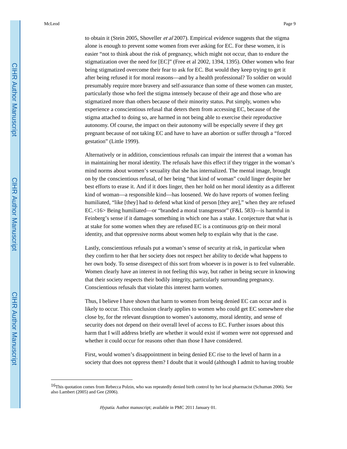to obtain it (Stein 2005, Shoveller *et al* 2007). Empirical evidence suggests that the stigma alone is enough to prevent some women from ever asking for EC. For these women, it is easier "not to think about the risk of pregnancy, which might not occur, than to endure the stigmatization over the need for [EC]" (Free et al 2002, 1394, 1395). Other women who fear being stigmatized overcome their fear to ask for EC. But would they keep trying to get it after being refused it for moral reasons—and by a health professional? To soldier on would presumably require more bravery and self-assurance than some of these women can muster, particularly those who feel the stigma intensely because of their age and those who are stigmatized more than others because of their minority status. Put simply, women who experience a conscientious refusal that deters them from accessing EC, because of the stigma attached to doing so, are harmed in not being able to exercise their reproductive autonomy. Of course, the impact on their autonomy will be especially severe if they get pregnant because of not taking EC and have to have an abortion or suffer through a "forced gestation" (Little 1999).

Alternatively or in addition, conscientious refusals can impair the interest that a woman has in maintaining her moral identity. The refusals have this effect if they trigger in the woman's mind norms about women's sexuality that she has internalized. The mental image, brought on by the conscientious refusal, of her being "that kind of woman" could linger despite her best efforts to erase it. And if it does linger, then her hold on her moral identity as a different kind of woman—a responsible kind—has loosened. We do have reports of women feeling humiliated, "like [they] had to defend what kind of person [they are]," when they are refused EC.<16> Being humiliated—or "branded a moral transgressor" (F&L 583)—is harmful in Feinberg's sense if it damages something in which one has a stake. I conjecture that what is at stake for some women when they are refused EC is a continuous grip on their moral identity, and that oppressive norms about women help to explain why that is the case.

Lastly, conscientious refusals put a woman's sense of security at risk, in particular when they confirm to her that her society does not respect her ability to decide what happens to her own body. To sense disrespect of this sort from whoever is in power is to feel vulnerable. Women clearly have an interest in not feeling this way, but rather in being secure in knowing that their society respects their bodily integrity, particularly surrounding pregnancy. Conscientious refusals that violate this interest harm women.

Thus, I believe I have shown that harm to women from being denied EC can occur and is likely to occur. This conclusion clearly applies to women who could get EC somewhere else close by, for the relevant disruption to women's autonomy, moral identity, and sense of security does not depend on their overall level of access to EC. Further issues about this harm that I will address briefly are whether it would exist if women were not oppressed and whether it could occur for reasons other than those I have considered.

First, would women's disappointment in being denied EC rise to the level of harm in a society that does not oppress them? I doubt that it would (although I admit to having trouble

<sup>16</sup>This quotation comes from Rebecca Polzin, who was repeatedly denied birth control by her local pharmacist (Schuman 2006). See also Lambert (2005) and Gee (2006).

Hypatia. Author manuscript; available in PMC 2011 January 01.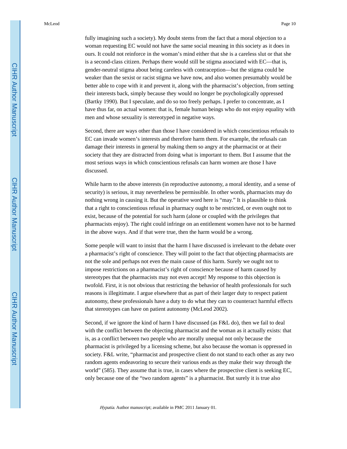fully imagining such a society). My doubt stems from the fact that a moral objection to a woman requesting EC would not have the same social meaning in this society as it does in ours. It could not reinforce in the woman's mind either that she is a careless slut or that she is a second-class citizen. Perhaps there would still be stigma associated with EC—that is, gender-neutral stigma about being careless with contraception—but the stigma could be weaker than the sexist or racist stigma we have now, and also women presumably would be better able to cope with it and prevent it, along with the pharmacist's objection, from setting their interests back, simply because they would no longer be psychologically oppressed (Bartky 1990). But I speculate, and do so too freely perhaps. I prefer to concentrate, as I have thus far, on actual women: that is, female human beings who do not enjoy equality with men and whose sexuality is stereotyped in negative ways.

Second, there are ways other than those I have considered in which conscientious refusals to EC can invade women's interests and therefore harm them. For example, the refusals can damage their interests in general by making them so angry at the pharmacist or at their society that they are distracted from doing what is important to them. But I assume that the most serious ways in which conscientious refusals can harm women are those I have discussed.

While harm to the above interests (in reproductive autonomy, a moral identity, and a sense of security) is serious, it may nevertheless be permissible. In other words, pharmacists may do nothing wrong in causing it. But the operative word here is "may." It is plausible to think that a right to conscientious refusal in pharmacy ought to be restricted, or even ought not to exist, because of the potential for such harm (alone or coupled with the privileges that pharmacists enjoy). The right could infringe on an entitlement women have not to be harmed in the above ways. And if that were true, then the harm would be a wrong.

Some people will want to insist that the harm I have discussed is irrelevant to the debate over a pharmacist's right of conscience. They will point to the fact that objecting pharmacists are not the sole and perhaps not even the main cause of this harm. Surely we ought not to impose restrictions on a pharmacist's right of conscience because of harm caused by stereotypes that the pharmacists may not even accept! My response to this objection is twofold. First, it is not obvious that restricting the behavior of health professionals for such reasons is illegitimate. I argue elsewhere that as part of their larger duty to respect patient autonomy, these professionals have a duty to do what they can to counteract harmful effects that stereotypes can have on patient autonomy (McLeod 2002).

Second, if we ignore the kind of harm I have discussed (as F&L do), then we fail to deal with the conflict between the objecting pharmacist and the woman as it actually exists: that is, as a conflict between two people who are morally unequal not only because the pharmacist is privileged by a licensing scheme, but also because the woman is oppressed in society. F&L write, "pharmacist and prospective client do not stand to each other as any two random agents endeavoring to secure their various ends as they make their way through the world" (585). They assume that is true, in cases where the prospective client is seeking EC, only because one of the "two random agents" is a pharmacist. But surely it is true also

Hypatia. Author manuscript; available in PMC 2011 January 01.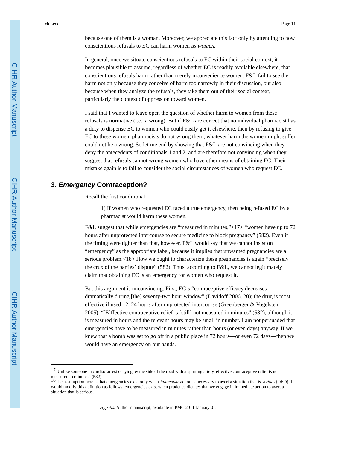because one of them is a woman. Moreover, we appreciate this fact only by attending to how conscientious refusals to EC can harm women as women.

In general, once we situate conscientious refusals to EC within their social context, it becomes plausible to assume, regardless of whether EC is readily available elsewhere, that conscientious refusals harm rather than merely inconvenience women. F&L fail to see the harm not only because they conceive of harm too narrowly in their discussion, but also because when they analyze the refusals, they take them out of their social context, particularly the context of oppression toward women.

I said that I wanted to leave open the question of whether harm to women from these refusals is normative (i.e., a wrong). But if F&L are correct that no individual pharmacist has a duty to dispense EC to women who could easily get it elsewhere, then by refusing to give EC to these women, pharmacists do not wrong them; whatever harm the women might suffer could not be a wrong. So let me end by showing that F&L are not convincing when they deny the antecedents of conditionals 1 and 2, and are therefore not convincing when they suggest that refusals cannot wrong women who have other means of obtaining EC. Their mistake again is to fail to consider the social circumstances of women who request EC.

#### **3. Emergency Contraception?**

Recall the first conditional:

1) If women who requested EC faced a true emergency, then being refused EC by a pharmacist would harm these women.

F&L suggest that while emergencies are "measured in minutes,"<17> "women have up to 72 hours after unprotected intercourse to secure medicine to block pregnancy" (582). Even if the timing were tighter than that, however, F&L would say that we cannot insist on "emergency" as the appropriate label, because it implies that unwanted pregnancies are a serious problem.<18> How we ought to characterize these pregnancies is again "precisely the crux of the parties' dispute" (582). Thus, according to F&L, we cannot legitimately claim that obtaining EC is an emergency for women who request it.

But this argument is unconvincing. First, EC's "contraceptive efficacy decreases dramatically during [the] seventy-two hour window" (Davidoff 2006, 20); the drug is most effective if used 12–24 hours after unprotected intercourse (Greenberger & Vogelstein 2005). "[E]ffective contraceptive relief is [still] not measured in minutes" (582), although it is measured in hours and the relevant hours may be small in number. I am not persuaded that emergencies have to be measured in minutes rather than hours (or even days) anyway. If we knew that a bomb was set to go off in a public place in 72 hours—or even 72 days—then we would have an emergency on our hands.

<sup>17&</sup>quot;Unlike someone in cardiac arrest or lying by the side of the road with a spurting artery, effective contraceptive relief is not measured in minutes" (582).<br><sup>18</sup>The assumption here is that emergencies exist only when *immediate* action is necessary to avert a situation that is *serious* (OED). I

would modify this definition as follows: emergencies exist when prudence dictates that we engage in immediate action to avert a situation that is serious.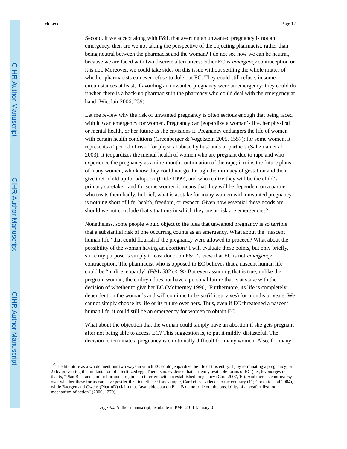Second, if we accept along with F&L that averting an unwanted pregnancy is not an emergency, then are we not taking the perspective of the objecting pharmacist, rather than being neutral between the pharmacist and the woman? I do not see how we can be neutral, because we are faced with two discrete alternatives: either EC is emergency contraception or it is not. Moreover, we could take sides on this issue without settling the whole matter of whether pharmacists can ever refuse to dole out EC. They could still refuse, in some circumstances at least, if avoiding an unwanted pregnancy were an emergency; they could do it when there is a back-up pharmacist in the pharmacy who could deal with the emergency at hand (Wicclair 2006, 239).

Let me review why the risk of unwanted pregnancy is often serious enough that being faced with it is an emergency for women. Pregnancy can jeopardize a woman's life, her physical or mental health, or her future as she envisions it. Pregnancy endangers the life of women with certain health conditions (Greenberger & Vogelstein 2005, 1557); for some women, it represents a "period of risk" for physical abuse by husbands or partners (Saltzman et al 2003); it jeopardizes the mental health of women who are pregnant due to rape and who experience the pregnancy as a nine-month continuation of the rape; it ruins the future plans of many women, who know they could not go through the intimacy of gestation and then give their child up for adoption (Little 1999), and who realize they will be the child's primary caretaker; and for some women it means that they will be dependent on a partner who treats them badly. In brief, what is at stake for many women with unwanted pregnancy is nothing short of life, health, freedom, or respect. Given how essential these goods are, should we not conclude that situations in which they are at risk are emergencies?

Nonetheless, some people would object to the idea that unwanted pregnancy is so terrible that a substantial risk of one occurring counts as an emergency. What about the "nascent human life" that could flourish if the pregnancy were allowed to proceed? What about the possibility of the woman having an abortion? I will evaluate these points, but only briefly, since my purpose is simply to cast doubt on F&L's view that EC is not *emergency* contraception. The pharmacist who is opposed to EC believes that a nascent human life could be "in dire jeopardy" (F&L 582).<19> But even assuming that is true, unlike the pregnant woman, the embryo does not have a personal future that is at stake with the decision of whether to give her EC (McInerney 1990). Furthermore, its life is completely dependent on the woman's and will continue to be so (if it survives) for months or years. We cannot simply choose its life or its future over hers. Thus, even if EC threatened a nascent human life, it could still be an emergency for women to obtain EC.

What about the objection that the woman could simply have an abortion if she gets pregnant after not being able to access EC? This suggestion is, to put it mildly, distasteful. The decision to terminate a pregnancy is emotionally difficult for many women. Also, for many

<sup>&</sup>lt;sup>19</sup>The literature as a whole mentions two ways in which EC could jeopardize the life of this entity: 1) by terminating a pregnancy; or 2) by preventing the implantation of a fertilized egg. There is no evidence that currently available forms of EC (i.e., levonorgestrel that is, "Plan B"—and similar hormonal regimens) interfere with an established pregnancy (Card 2007, 10). And there is controversy over whether these forms can have postfertilization effects: for example, Card cites evidence to the contrary (11; Croxatto et al 2004), while Baergen and Owens (PharmD) claim that "available data on Plan B do not rule out the possibility of a postfertilization mechanism of action" (2006, 1279).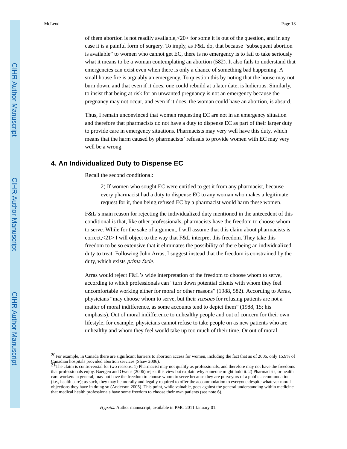of them abortion is not readily available,  $\langle 20 \rangle$  for some it is out of the question, and in any case it is a painful form of surgery. To imply, as F&L do, that because "subsequent abortion is available" to women who cannot get EC, there is no emergency is to fail to take seriously what it means to be a woman contemplating an abortion (582). It also fails to understand that emergencies can exist even when there is only a chance of something bad happening. A small house fire is arguably an emergency. To question this by noting that the house may not burn down, and that even if it does, one could rebuild at a later date, is ludicrous. Similarly, to insist that being at risk for an unwanted pregnancy is not an emergency because the pregnancy may not occur, and even if it does, the woman could have an abortion, is absurd.

Thus, I remain unconvinced that women requesting EC are not in an emergency situation and therefore that pharmacists do not have a duty to dispense EC as part of their larger duty to provide care in emergency situations. Pharmacists may very well have this duty, which means that the harm caused by pharmacists' refusals to provide women with EC may very well be a wrong.

#### **4. An Individualized Duty to Dispense EC**

Recall the second conditional:

2) If women who sought EC were entitled to get it from any pharmacist, because every pharmacist had a duty to dispense EC to any woman who makes a legitimate request for it, then being refused EC by a pharmacist would harm these women.

F&L's main reason for rejecting the individualized duty mentioned in the antecedent of this conditional is that, like other professionals, pharmacists have the freedom to choose whom to serve. While for the sake of argument, I will assume that this claim about pharmacists is correct,<21> I will object to the way that F&L interpret this freedom. They take this freedom to be so extensive that it eliminates the possibility of there being an individualized duty to treat. Following John Arras, I suggest instead that the freedom is constrained by the duty, which exists prima facie.

Arras would reject F&L's wide interpretation of the freedom to choose whom to serve, according to which professionals can "turn down potential clients with whom they feel uncomfortable working either for moral or other reasons" (1988, 582). According to Arras, physicians "may choose whom to serve, but their reasons for refusing patients are not a matter of moral indifference, as some accounts tend to depict them" (1988, 15; his emphasis). Out of moral indifference to unhealthy people and out of concern for their own lifestyle, for example, physicians cannot refuse to take people on as new patients who are unhealthy and whom they feel would take up too much of their time. Or out of moral

<sup>20</sup>For example, in Canada there are significant barriers to abortion access for women, including the fact that as of 2006, only 15.9% of Canadian hospitals provided abortion services (Shaw 2006).<br><sup>21</sup>The claim is controversial for two reasons. 1) Pharmacist may not qualify as professionals, and therefore may not have the freedoms

that professionals enjoy. Baergen and Owens (2006) reject this view but explain why someone might hold it. 2) Pharmacists, or health care workers in general, may not have the freedom to choose whom to serve because they are purveyors of a public accommodation (i.e., health care); as such, they may be morally and legally required to offer the accommodation to everyone despite whatever moral objections they have in doing so (Anderson 2005). This point, while valuable, goes against the general understanding within medicine that medical health professionals have some freedom to choose their own patients (see note 6).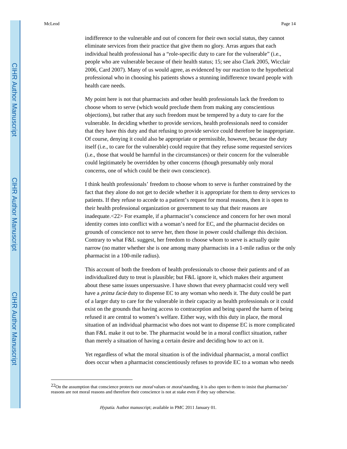indifference to the vulnerable and out of concern for their own social status, they cannot eliminate services from their practice that give them no glory. Arras argues that each individual health professional has a "role-specific duty to care for the vulnerable" (i.e., people who are vulnerable because of their health status; 15; see also Clark 2005, Wicclair 2006, Card 2007). Many of us would agree, as evidenced by our reaction to the hypothetical professional who in choosing his patients shows a stunning indifference toward people with health care needs.

My point here is not that pharmacists and other health professionals lack the freedom to choose whom to serve (which would preclude them from making any conscientious objections), but rather that any such freedom must be tempered by a duty to care for the vulnerable. In deciding whether to provide services, health professionals need to consider that they have this duty and that refusing to provide service could therefore be inappropriate. Of course, denying it could also be appropriate or permissible, however, because the duty itself (i.e., to care for the vulnerable) could require that they refuse some requested services (i.e., those that would be harmful in the circumstances) or their concern for the vulnerable could legitimately be overridden by other concerns (though presumably only moral concerns, one of which could be their own conscience).

I think health professionals' freedom to choose whom to serve is further constrained by the fact that they alone do not get to decide whether it is appropriate for them to deny services to patients. If they refuse to accede to a patient's request for moral reasons, then it is open to their health professional organization or government to say that their reasons are inadequate.<22> For example, if a pharmacist's conscience and concern for her own moral identity comes into conflict with a woman's need for EC, and the pharmacist decides on grounds of conscience not to serve her, then those in power could challenge this decision. Contrary to what F&L suggest, her freedom to choose whom to serve is actually quite narrow (no matter whether she is one among many pharmacists in a 1-mile radius or the only pharmacist in a 100-mile radius).

This account of both the freedom of health professionals to choose their patients and of an individualized duty to treat is plausible; but F&L ignore it, which makes their argument about these same issues unpersuasive. I have shown that every pharmacist could very well have a prima facie duty to dispense EC to any woman who needs it. The duty could be part of a larger duty to care for the vulnerable in their capacity as health professionals or it could exist on the grounds that having access to contraception and being spared the harm of being refused it are central to women's welfare. Either way, with this duty in place, the moral situation of an individual pharmacist who does not want to dispense EC is more complicated than F&L make it out to be. The pharmacist would be in a moral conflict situation, rather than merely a situation of having a certain desire and deciding how to act on it.

Yet regardless of what the moral situation is of the individual pharmacist, a moral conflict does occur when a pharmacist conscientiously refuses to provide EC to a woman who needs

<sup>&</sup>lt;sup>22</sup>On the assumption that conscience protects our *moral* values or *moral* standing, it is also open to them to insist that pharmacists' reasons are not moral reasons and therefore their conscience is not at stake even if they say otherwise.

Hypatia. Author manuscript; available in PMC 2011 January 01.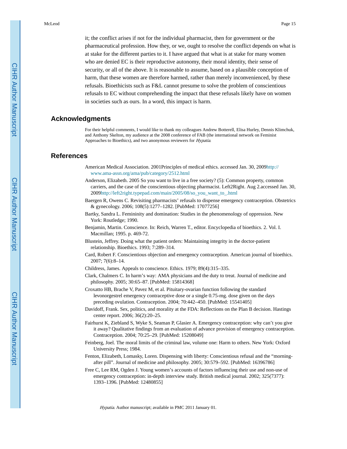it; the conflict arises if not for the individual pharmacist, then for government or the pharmaceutical profession. How they, or we, ought to resolve the conflict depends on what is at stake for the different parties to it. I have argued that what is at stake for many women who are denied EC is their reproductive autonomy, their moral identity, their sense of security, or all of the above. It is reasonable to assume, based on a plausible conception of harm, that these women are therefore harmed, rather than merely inconvenienced, by these refusals. Bioethicists such as F&L cannot presume to solve the problem of conscientious refusals to EC without comprehending the impact that these refusals likely have on women in societies such as ours. In a word, this impact is harm.

#### **Acknowledgments**

For their helpful comments, I would like to thank my colleagues Andrew Botterell, Elisa Hurley, Dennis Klimchuk, and Anthony Skelton, my audience at the 2008 conference of FAB (the international network on Feminist Approaches to Bioethics), and two anonymous reviewers for Hypatia.

#### **References**

- American Medical Association. 2001Principles of medical ethics. accessed Jan. 30, 200[9http://](http://www.ama-assn.org/ama/pub/category/2512.html) [www.ama-assn.org/ama/pub/category/2512.html](http://www.ama-assn.org/ama/pub/category/2512.html)
- Anderson, Elizabeth. 2005 So you want to live in a free society? (5): Common property, common carriers, and the case of the conscientious objecting pharmacist. Left2Right. Aug 2.accessed Jan. 30, 2009[http://left2right.typepad.com/main/2005/08/so\\_you\\_want\\_to\\_.html](http://left2right.typepad.com/main/2005/08/so_you_want_to_.html)
- Baergen R, Owens C. Revisiting pharmacists' refusals to dispense emergency contraception. Obstetrics & gynecology. 2006; 108(5):1277–1282. [PubMed: 17077256]
- Bartky, Sandra L. Femininity and domination: Studies in the phenomenology of oppression. New York: Routledge; 1990.
- Benjamin, Martin. Conscience. In: Reich, Warren T., editor. Encyclopedia of bioethics. 2. Vol. I. Macmillan; 1995. p. 469-72.
- Blustein, Jeffrey. Doing what the patient orders: Maintaining integrity in the doctor-patient relationship. Bioethics. 1993; 7:289–314.
- Card, Robert F. Conscientious objection and emergency contraception. American journal of bioethics. 2007; 7(6):8–14.
- Childress, James. Appeals to conscience. Ethics. 1979; 89(4):315–335.
- Clark, Chalmers C. In harm's way: AMA physicians and the duty to treat. Journal of medicine and philosophy. 2005; 30:65–87. [PubMed: 15814368]
- Croxatto HB, Brache V, Pavez M, et al. Pituitary-ovarian function following the standard levonorgestrel emergency contraceptive dose or a single 0.75-mg. dose given on the days preceding ovulation. Contraception. 2004; 70:442–450. [PubMed: 15541405]
- Davidoff, Frank. Sex, politics, and morality at the FDA: Reflections on the Plan B decision. Hastings center report. 2006; 36(2):20–25.
- Fairhurst K, Ziebland S, Wyke S, Seaman P, Glasier A. Emergency contraception: why can't you give it away? Qualitative findings from an evaluation of advance provision of emergency contraception. Contraception. 2004; 70:25–29. [PubMed: 15208049]
- Feinberg, Joel. The moral limits of the criminal law, volume one: Harm to others. New York: Oxford University Press; 1984.
- Fenton, Elizabeth, Lomasky, Loren. Dispensing with liberty: Conscientious refusal and the "morningafter pill". Journal of medicine and philosophy. 2005; 30:579–592. [PubMed: 16396786]
- Free C, Lee RM, Ogden J. Young women's accounts of factors influencing their use and non-use of emergency contraception: in-depth interview study. British medical journal. 2002; 325(7377): 1393–1396. [PubMed: 12480855]

Hypatia. Author manuscript; available in PMC 2011 January 01.